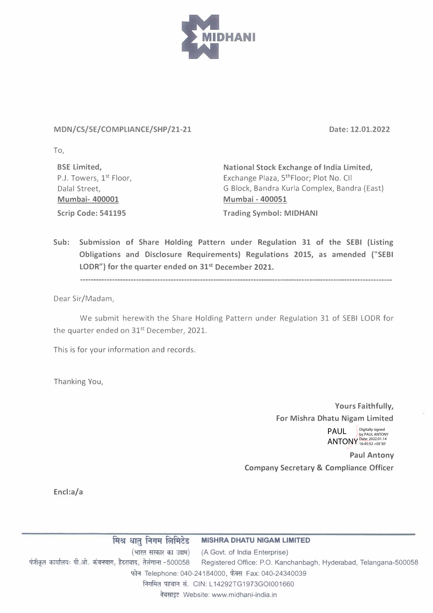

## MDN/CS/SE/COMPLIANCE/SHP/21-21 Date: 12.01.2022

To,

**BSE Limited,**  P.J. Towers, 1<sup>st</sup> Floor, Dalal Street, **Mumbai- 400001 Scrip Code: 541195** 

**National Stock Exchange of India Limited,**  Exchange Plaza, 5<sup>th</sup>Floor; Plot No. Cll G Block, Bandra Kurla Complex, Bandra (East) **Mumbai - 400051 Trading Symbol: MIDHANI** 

**Sub: Submission of Share Holding Pattern under Regulation 31 of the SEBI (Listing Obligations and Disclosure Requirements) Regulations 2015, as amended {"SEBI LODR") for the quarter ended on 31st December 2021.** 

Dear Sir/Madam,

We submit herewith the Share Holding Pattern under Regulation 31 of SEBI LODR for the quarter ended on 31<sup>st</sup> December, 2021.

This is for your information and records.

Thanking You,

**Yours Faithfully, For Mishra Dhatu Nigam Limited** 

> ANTONY Digitally signed by PAUL ANTONY Date: 2022.01.14 16:45:52 +05'30'

**Paul Antony Company Secretary & Compliance Officer** 

**Encl:a/a** 

**ff{� � f.l1Jll Rll�eg MISHRA DHATU NIGAM LIMITED**  (A Govt. of India Enterprise) (भारत सरकार का उद्यम)<br>पंजीकृत कार्यालयः पी.ओ. कंचनबाग, हैदराबाद, तेलंगाना -500058 Registered Office: P.O. Kand Registered Office: P.O. Kanchanbagh, Hyderabad, Telangana-500058 फोन Telephone: 040-24184000, फैक्स Fax: 040-24340039 निगमित पहचान सं. CIN: L14292TG1973GOI001660 PAUL<br>
ANTO<br>
Company Secretary & Compl<br>
से लिमिटेड MISHRA DHATU NIGAM LIMITED<br>
स का उद्यम्) (A Govt. of India Enterprise)<br>I -500058 Registered Office: P.O. Kanchanbagh, Hyderab<br>Mone: 040-24184000, फैक्स Fax: 040-24340039<br>।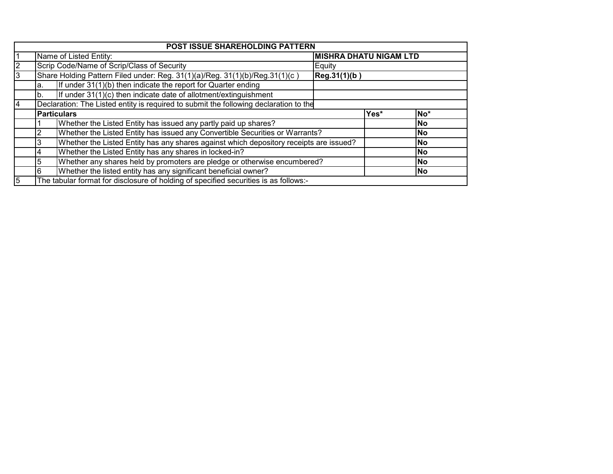|   |     | <b>POST ISSUE SHAREHOLDING PATTERN</b>                                                 |                               |                 |           |  |  |
|---|-----|----------------------------------------------------------------------------------------|-------------------------------|-----------------|-----------|--|--|
|   |     | Name of Listed Entity:                                                                 | <b>MISHRA DHATU NIGAM LTD</b> |                 |           |  |  |
|   |     | Scrip Code/Name of Scrip/Class of Security                                             |                               |                 |           |  |  |
|   |     | Share Holding Pattern Filed under: Reg. 31(1)(a)/Reg. 31(1)(b)/Reg.31(1)(c)            | Reg.31(1)(b)                  |                 |           |  |  |
|   | la. | If under $31(1)(b)$ then indicate the report for Quarter ending                        |                               |                 |           |  |  |
|   | lb. | If under 31(1)(c) then indicate date of allotment/extinguishment                       |                               |                 |           |  |  |
|   |     | Declaration: The Listed entity is required to submit the following declaration to the  |                               |                 |           |  |  |
|   |     | <b>Particulars</b>                                                                     | Yes*                          | No <sup>*</sup> |           |  |  |
|   |     | Whether the Listed Entity has issued any partly paid up shares?                        |                               |                 | <b>No</b> |  |  |
|   | 2   | Whether the Listed Entity has issued any Convertible Securities or Warrants?           |                               |                 | <b>No</b> |  |  |
|   | 3   | Whether the Listed Entity has any shares against which depository receipts are issued? |                               |                 | <b>No</b> |  |  |
|   | 4   | Whether the Listed Entity has any shares in locked-in?                                 |                               |                 | <b>No</b> |  |  |
|   | 5   | Whether any shares held by promoters are pledge or otherwise encumbered?               |                               |                 | <b>No</b> |  |  |
|   | 6   | Whether the listed entity has any significant beneficial owner?                        |                               | <b>No</b>       |           |  |  |
| 5 |     | The tabular format for disclosure of holding of specified securities is as follows:-   |                               |                 |           |  |  |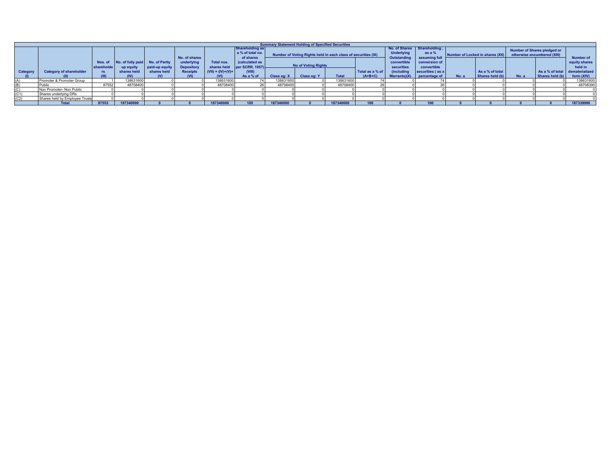|          |                                |                           |                                  |                              |                                              |                                            |                                                                                              | <b>Summary Statement Holding of Specified Securities</b> |                                                                                             |              |                              |                                                                               |                                                         |       |                                    |                                                            |                                                   |                                              |
|----------|--------------------------------|---------------------------|----------------------------------|------------------------------|----------------------------------------------|--------------------------------------------|----------------------------------------------------------------------------------------------|----------------------------------------------------------|---------------------------------------------------------------------------------------------|--------------|------------------------------|-------------------------------------------------------------------------------|---------------------------------------------------------|-------|------------------------------------|------------------------------------------------------------|---------------------------------------------------|----------------------------------------------|
|          |                                | Nos. of                   | No. of fully paid                | No. of Partly                | No. of shares<br>underlying                  | Total nos.                                 | <b>Shareholding as</b><br>a % of total no.<br>of shares<br>(calculated as<br>per SCRR, 1957) |                                                          | Number of Voting Rights held in each class of securities (IX)<br><b>No of Voting Rights</b> |              |                              | No. of Shares Shareholding<br><b>Underlying</b><br>Outstanding<br>convertible | as a %<br>assuming full<br>conversion of<br>convertible |       | Number of Locked in shares (XII)   | Number of Shares pledged or<br>otherwise encumbered (XIII) |                                                   | <b>Number of</b><br>equity shares<br>held in |
| Category | <b>Category of shareholder</b> | shareholde<br>rs<br>(III) | up equity<br>shares held<br>(IV) | paid-up equit<br>shares held | <b>Depository</b><br><b>Receipts</b><br>(VI) | shares held<br>$(VII) = (IV)+(V)+$<br>(VI) | (VIII)<br>As a % of                                                                          | Class eq: X                                              | Class eq: Y                                                                                 | <b>Total</b> | Total as a % of<br>$(A+B+C)$ | securities<br><i><b>(including</b></i>                                        | securities (as a<br>Warrants $(X)$ percentage of        | No. a | As a % of total<br>Shares held (b) | No. a                                                      | As a % of total dematerialized<br>Shares held (b) | form (XIV)                                   |
| (A)      | Promoter & Promoter Group      |                           | 138631600                        |                              |                                              | 13863160                                   |                                                                                              | 138631600                                                |                                                                                             | 138631600    |                              |                                                                               |                                                         |       |                                    |                                                            |                                                   | 138631600                                    |
| (B)      | Public                         | 87552                     | 48708400                         |                              |                                              | 48708400                                   |                                                                                              | 48708400                                                 |                                                                                             | 48708400     |                              |                                                                               |                                                         |       |                                    |                                                            |                                                   | 48708390                                     |
| (C)      | Non Promoter- Non Public       |                           |                                  |                              |                                              |                                            |                                                                                              |                                                          |                                                                                             |              |                              |                                                                               |                                                         |       |                                    |                                                            |                                                   |                                              |
| (C1)     | Shares underlying DRs          |                           |                                  |                              |                                              |                                            |                                                                                              |                                                          |                                                                                             |              |                              |                                                                               |                                                         |       |                                    |                                                            |                                                   |                                              |
| (C2)     | Shares held by Employee Trusts |                           |                                  |                              |                                              |                                            |                                                                                              |                                                          |                                                                                             |              |                              |                                                                               |                                                         |       |                                    |                                                            |                                                   |                                              |
|          | <b>Total</b>                   | 87553                     | 187340000                        |                              |                                              | 187340000                                  | 100                                                                                          | 187340000                                                |                                                                                             | 187340000    |                              |                                                                               |                                                         |       |                                    |                                                            |                                                   | 187339990                                    |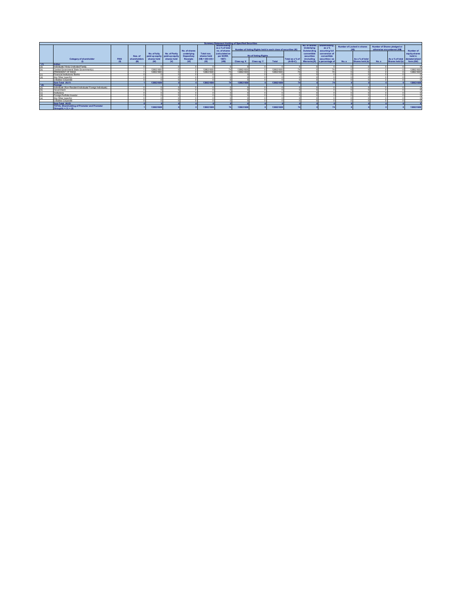|       |                                                             |     |              |              |                                                |                          |                           | Summary Statement Holding of Specified Securities |                                                               |                         |           |                 |                                                      |                              |       |                                          |       |                                                            |                                |
|-------|-------------------------------------------------------------|-----|--------------|--------------|------------------------------------------------|--------------------------|---------------------------|---------------------------------------------------|---------------------------------------------------------------|-------------------------|-----------|-----------------|------------------------------------------------------|------------------------------|-------|------------------------------------------|-------|------------------------------------------------------------|--------------------------------|
|       |                                                             |     |              |              |                                                | No. of shares            |                           | Shareholding<br>as a % of total<br>no, of shares  | Number of Voting Rights held in each class of securities (IX) |                         |           |                 | No. of Shares Sharehold<br>Underlying<br>Outstanding | as a %<br>assuming full      |       | Number of Locked in shares<br><b>CYB</b> |       | Number of Shares pledged or<br>otherwise encumbered (XIII) | Number of                      |
|       |                                                             |     | Nos. of      | No. of fully | No. of Partiy<br>paid up equity paid-up equity | underlying<br>Depository | Total nos.<br>shares held | (calculated as<br>per SCRR.                       |                                                               | No of Voting Rights     |           |                 | convertible<br>securities                            | conversion of<br>convertible |       |                                          |       |                                                            | equity shares<br>held in       |
|       | Category of shareholder                                     | PAN | shareholders | shares held  | shares held                                    | Receipts                 | $(VII) = (IV)+(V)+$       | 1957)                                             |                                                               |                         |           | Total as a % of | <b>(including</b>                                    | securities (as               |       | As a % of total                          |       |                                                            | As a % of total dematerialized |
|       |                                                             |     |              | m            | <sub>m</sub>                                   | CM <sub>3</sub>          |                           | NID                                               |                                                               | Class eq: X Class eq: Y | Total     | $(A+B+C)$       |                                                      | Warrants)(X) a percentage of | No.a. | Shares held (b)                          | No. a | Shares held (b)                                            | form (XIV)                     |
| 1743. | Indian                                                      |     |              |              |                                                |                          |                           |                                                   |                                                               |                         |           |                 |                                                      |                              |       |                                          |       |                                                            |                                |
|       | Individuals/ Hindu Undivided Family                         |     |              |              |                                                |                          |                           |                                                   |                                                               |                         |           |                 |                                                      |                              |       |                                          |       |                                                            |                                |
|       | Central Government/ State Government(s)                     |     |              | 138631600    |                                                |                          | 138631600                 |                                                   | 138631600                                                     |                         | 138631600 | 7.4             |                                                      |                              |       |                                          |       |                                                            | 138631600                      |
|       | PRESIDENT OF INDIA                                          |     |              | 138631600    |                                                |                          | 138631600                 |                                                   | 138631600                                                     |                         | 138631600 | 2.8             |                                                      |                              |       |                                          |       |                                                            | 138631600                      |
|       | Financial Institutions/ Ranks                               |     |              |              |                                                |                          |                           |                                                   |                                                               |                         |           |                 |                                                      |                              |       |                                          |       |                                                            |                                |
|       | Any Other (specify)                                         |     |              |              |                                                |                          |                           |                                                   |                                                               |                         |           |                 |                                                      |                              |       |                                          |       |                                                            |                                |
|       | i) Bodies Corporate                                         |     |              |              |                                                |                          |                           |                                                   |                                                               |                         |           |                 |                                                      |                              |       |                                          |       |                                                            |                                |
|       | Sub-Total (A)(1)                                            |     |              | 138631600    |                                                |                          | 120621600                 |                                                   | 138631600                                                     |                         | 138631600 |                 |                                                      | ÷.                           |       |                                          |       |                                                            | 138631600                      |
| 1(2)  | Foreign                                                     |     |              |              |                                                |                          |                           |                                                   |                                                               |                         |           |                 |                                                      |                              |       |                                          |       |                                                            |                                |
|       | Individuals (Non-Resident Individuals/ Foreign Individuals) |     |              |              |                                                |                          |                           |                                                   |                                                               |                         |           |                 |                                                      |                              |       |                                          |       |                                                            |                                |
|       | Government                                                  |     |              |              |                                                |                          |                           |                                                   |                                                               |                         |           |                 |                                                      |                              |       |                                          |       |                                                            |                                |
|       | Institutions                                                |     |              |              |                                                |                          |                           |                                                   |                                                               |                         |           |                 |                                                      |                              |       |                                          |       |                                                            |                                |
|       | Foreign Portfolio Investor                                  |     |              |              |                                                |                          |                           |                                                   |                                                               |                         |           |                 |                                                      |                              |       |                                          |       |                                                            |                                |
| (n)   | Any Other (specify)                                         |     |              |              |                                                |                          |                           |                                                   |                                                               |                         |           |                 |                                                      |                              |       |                                          |       |                                                            |                                |
|       | i) Bodies Corporate                                         |     |              |              |                                                |                          |                           |                                                   |                                                               |                         |           |                 |                                                      |                              |       |                                          |       |                                                            |                                |
|       | Sub-Total (A)(2)                                            |     |              |              |                                                |                          |                           |                                                   |                                                               |                         |           |                 |                                                      |                              |       |                                          |       |                                                            |                                |
|       | <b>TOTAL Shareholding of Promoter and Promoter</b>          |     |              | 138631600    |                                                |                          | 138631600                 |                                                   | 138631600                                                     |                         | 138631600 |                 |                                                      | 74                           |       |                                          |       |                                                            | 138631600                      |
|       | $Group(A) = (1) + (2)$                                      |     |              |              |                                                |                          |                           |                                                   |                                                               |                         |           |                 |                                                      |                              |       |                                          |       |                                                            |                                |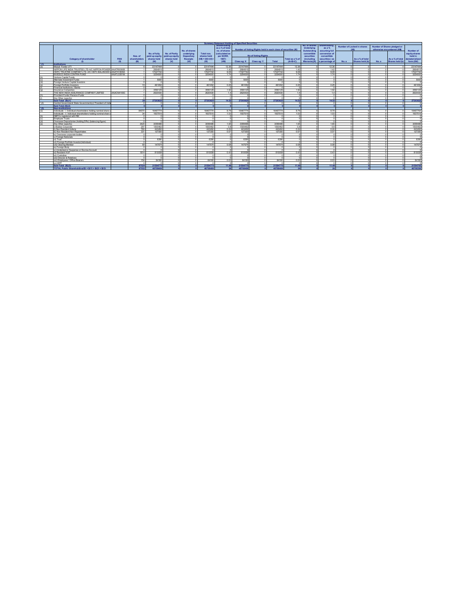|     |                                                                 |            |                                                                                  |                              |                               |                               |                                     |                                 | Summary Statement Holding of Specified Securities |                     |          |                              |                                           |                                   |                            |                                    |                  |                                    |                              |
|-----|-----------------------------------------------------------------|------------|----------------------------------------------------------------------------------|------------------------------|-------------------------------|-------------------------------|-------------------------------------|---------------------------------|---------------------------------------------------|---------------------|----------|------------------------------|-------------------------------------------|-----------------------------------|----------------------------|------------------------------------|------------------|------------------------------------|------------------------------|
|     |                                                                 |            |                                                                                  |                              |                               |                               |                                     | Shareholding                    |                                                   |                     |          |                              | No. of Shares                             | ihareholding                      | Number of Locked in shares |                                    |                  | Number of Shares pledged or        |                              |
|     |                                                                 |            | as a % of total<br>Number of Voting Rights held in each class of securities (IX) |                              |                               |                               |                                     |                                 | Underlying<br>Outstanding                         | as a %              | $\alpha$ |                              | otherwise encumbered (XIII)               |                                   | Number of                  |                                    |                  |                                    |                              |
|     |                                                                 |            |                                                                                  |                              |                               | No. of shares                 |                                     | no, of shares<br>(calculated as |                                                   |                     |          |                              |                                           | assuming full                     |                            |                                    |                  |                                    |                              |
|     |                                                                 |            |                                                                                  | No. of fully                 | No. of Partly                 | underlying                    | Total nos.                          |                                 |                                                   | No of Voting Rights |          |                              |                                           | conversion of                     |                            |                                    |                  |                                    | equity shares<br>held in     |
|     | Category of shareholder                                         | PAN        | Nos. of<br>shareholders                                                          | paid up equit<br>shares held | paid-up equity<br>shares held | Depository                    | shares held<br>$(NI) = (N) + (N) +$ | per SCRR.<br>1957)              |                                                   |                     |          |                              | securities                                | convertible                       |                            |                                    |                  |                                    |                              |
|     |                                                                 | m          | $\mathbf{m}$                                                                     |                              | $\infty$                      | <b>Receipts</b><br><b>CVD</b> | $\mathbf{m}$                        | $\alpha$ m                      |                                                   |                     | Total    | Total as a % of<br>$(A+B+C)$ | <i><b>(including)</b></i><br>Warrants)(X) | securities (as<br>a percentage of | No.a.                      | As a % of total<br>Shares held (b) | No.a.            | As a % of total<br>Shares held (b) | dematerialized<br>form (XIV) |
|     | Institutions                                                    |            |                                                                                  |                              |                               |                               |                                     |                                 | Class eq: X                                       | Class eq: Y         |          |                              |                                           |                                   |                            |                                    |                  |                                    |                              |
| (n) | Midual Funds/1/TI                                               |            |                                                                                  | 23147444                     |                               |                               | 23147444                            | 12.36                           | 23147444                                          |                     | 23147444 | 12.36                        | $\sim$                                    | 12.36                             |                            |                                    | $\sim$           |                                    | 23147444                     |
|     | NIPPON LIFE INDIA TRUSTEE LTD-A/C NIPPON POWER AAATR0090B       |            |                                                                                  | 2664815                      |                               |                               | 2664815                             | 1.42                            | 2664815                                           | - O                 | 2664815  | 142                          | $\Omega$                                  | 1.42                              |                            | $\sim$                             | $\sim$           |                                    | 2664815                      |
|     | HDFC TRUSTEE COMPANY LTD. A/C HDFC BALANCED A AAATH1809A        |            |                                                                                  | 17027742                     |                               |                               | 17027742                            | 9.09                            | 17027742                                          |                     | 17027742 | 9.09                         | $\Omega$                                  | 909                               |                            |                                    | ×                |                                    | 17027742                     |
|     | INVESCO INDIA CONTRA FUND                                       | AAATL5351M |                                                                                  | 3254000                      |                               |                               | 3254000                             | 174                             | 3254000                                           |                     | 3254000  | 174                          | $\sim$                                    | 1.74                              |                            |                                    |                  |                                    | 3254000                      |
|     | Venture Capital Funds                                           |            |                                                                                  |                              |                               |                               |                                     |                                 |                                                   |                     |          |                              | $\sim$                                    |                                   |                            |                                    |                  |                                    |                              |
|     | Alternate Investment Funds                                      |            |                                                                                  | 5000                         |                               |                               | 5000                                |                                 | 5000                                              |                     | 5000     |                              | $\sim$                                    |                                   |                            |                                    |                  |                                    | 5000                         |
| (d) | Foreign Venture Canital Investors                               |            |                                                                                  |                              |                               |                               |                                     |                                 |                                                   |                     |          |                              | o                                         |                                   |                            |                                    |                  |                                    |                              |
| (n) | Foreign Portfolio Investors                                     |            | 19                                                                               | 461052                       |                               |                               | 461052                              | 0.25                            | 461052                                            |                     | 461052   | 0.25                         | $\Omega$                                  | 0.25                              |                            |                                    | ×                |                                    | 461052                       |
| m   | Financial Institutions / Ranks                                  |            | $\sim$                                                                           | .c                           |                               |                               |                                     | n                               |                                                   |                     |          |                              | Þ                                         |                                   |                            |                                    | $\sim$           |                                    |                              |
| (n) | Insurance Companies                                             |            |                                                                                  | 3590129                      |                               |                               | 3590129                             | 192                             | 3590129                                           | $\sim$              | 3590129  | 192                          | Þ                                         | 192                               |                            | $\sim$                             | $\sim$           |                                    | 3590129                      |
|     | THE NEW INDIA ASSURANCE COMPANY LIMITED                         | AAACN4165C |                                                                                  | 2620430                      |                               |                               | 2620430                             | 14                              | 2620430                                           |                     | 2620430  | 14                           | $\Omega$                                  | 14                                |                            |                                    | $\sim$           |                                    | 2620430                      |
| (h) | Provident Funds/ Pension Funds                                  |            |                                                                                  | $\sim$                       |                               |                               |                                     | $\sim$                          |                                                   |                     |          | $\sim$                       | $\Omega$                                  |                                   |                            | $\sim$                             | $\sim$           |                                    |                              |
|     | Any Other (specify)                                             |            | $\sim$                                                                           | o                            |                               |                               |                                     | $\sim$                          |                                                   |                     |          |                              | $\sim$                                    |                                   |                            |                                    |                  |                                    |                              |
|     | Sub-Total (R)(1)                                                |            |                                                                                  | 27203625                     |                               |                               | 27203625                            | 14.52                           | 27203628                                          |                     | 27203625 | 14.52                        |                                           | 44.69                             |                            |                                    |                  |                                    | 27203625                     |
| 121 | Central Government/State Government(s)/ President of Indi-      |            |                                                                                  |                              |                               |                               |                                     |                                 |                                                   |                     |          |                              |                                           |                                   |                            |                                    |                  |                                    |                              |
|     | Sub-Total (B)(2)                                                |            |                                                                                  |                              |                               |                               |                                     |                                 |                                                   |                     |          |                              |                                           |                                   |                            |                                    |                  |                                    |                              |
|     | Non-Institutions                                                |            |                                                                                  |                              |                               |                               |                                     |                                 |                                                   |                     |          |                              |                                           |                                   |                            |                                    |                  |                                    |                              |
| (a) | Individuals - i Individual shareholders holding nominal share   |            | 84070                                                                            | 16467774                     |                               |                               | 16467774                            | 8.79                            | 16467774                                          |                     | 16467774 | 8.79                         | -O                                        | 8.79                              |                            |                                    |                  |                                    | 16467764                     |
|     | Individuals - ii. Individual shareholders holding nominal share |            | 24                                                                               | 1937515                      |                               |                               | 1937515                             | 1.03                            | 1937515                                           |                     | 1937515  | 1.03                         | $\sim$                                    | 103                               |                            |                                    |                  |                                    | 1937515                      |
| (b) | NBFCs registered with RBI                                       |            |                                                                                  | $\sim$                       |                               |                               |                                     | $\sim$                          |                                                   |                     |          |                              | $\Omega$                                  |                                   |                            |                                    |                  |                                    |                              |
|     | Employee Trusts                                                 |            |                                                                                  | o                            |                               |                               |                                     | $\sim$                          |                                                   |                     |          |                              | $\Omega$                                  |                                   |                            |                                    |                  |                                    |                              |
|     | Overseas Depositories (holding DRs) (balancing figure)          |            |                                                                                  |                              |                               |                               |                                     | $\sim$                          |                                                   |                     |          |                              | $\sim$                                    |                                   |                            |                                    |                  |                                    |                              |
|     | Any Other (specify)                                             |            | 3420                                                                             | 3099486                      |                               |                               | 3099486                             | 1.65                            | 3099486                                           |                     | 3099486  | 1.65                         | $\Omega$                                  | 1.65                              |                            |                                    |                  |                                    | 3099486                      |
|     | il Bodies Corporate                                             |            | 297                                                                              | 1500452                      |                               |                               | 1500462                             | <b>OR</b>                       | 1500462                                           |                     | 1500462  | <b>OR</b>                    | $\sim$                                    | 0 <sub>R</sub>                    |                            |                                    |                  |                                    | 1500462                      |
|     | ii) Non Resident Indians                                        |            | 760                                                                              | 443492                       |                               |                               | 443492                              | 0.24                            | 443492                                            |                     | 443492   | 0.24                         | $\Omega$                                  | 0.24                              |                            |                                    | ×                |                                    | 443492                       |
|     | iii) Non Resident Non Renartriates                              |            | 331                                                                              | 127350                       |                               |                               | 127350                              | 0.07                            | 127350                                            | $\sim$              | 127350   | 0.07                         | $\Omega$                                  | 0.07                              |                            |                                    | $\sim$           |                                    | 127350                       |
|     | iv) Overseas corporate bodies                                   |            | $\sim$                                                                           | .c                           |                               |                               |                                     | ×                               |                                                   | -O                  | $\sim$   | $\sim$                       | $\Omega$                                  |                                   |                            | $\sim$                             | ×                |                                    |                              |
|     | v) Foreign Nationals                                            |            | $\sim$<br>$\sim$                                                                 | $\sim$                       |                               |                               |                                     | $\sim$                          |                                                   | $\sim$              | $\sim$   | $\sim$<br>$\sim$             | $\Omega$<br>Þ                             |                                   |                            | $\sim$                             | $\sim$<br>$\sim$ |                                    | $\sim$                       |
|     | vi) Trust                                                       |            |                                                                                  | 6390                         |                               |                               | 6390                                | $\sim$                          | 6390                                              |                     | 6390     |                              |                                           |                                   |                            | $\sim$                             | $\sim$           |                                    | 6390                         |
|     | vii) Foreign Portfolio Investor(Individual)                     |            | $\Omega$<br>59                                                                   | .n<br>147574                 |                               |                               | 147574                              | 0.08                            | 147574                                            | $\Omega$            | 147574   | n<br>0.08                    | $\Omega$<br>$\Omega$                      | 0.08                              |                            | $\sim$                             | $\sim$           |                                    | 147574                       |
|     | viii) Clearing Member<br>ix) Foreign Body                       |            | $\overline{0}$                                                                   | $\Omega$                     |                               |                               |                                     | $\Omega$                        |                                                   | $\Omega$            | $\Omega$ | $\sim$                       | $\Omega$                                  |                                   |                            | $\sim$                             | $\Omega$         |                                    | $\Omega$                     |
|     | x) Unclaimed or Suspense or Escrow Account                      |            | $\Omega$                                                                         | $\Omega$                     |                               |                               | $\sim$                              | $\Omega$                        |                                                   | $\sim$              | $\Omega$ | $\sim$                       | $\Omega$                                  |                                   |                            | $\sim$                             | $\sim$           |                                    | $\Omega$                     |
|     | xi) Resident HLIF                                               |            | 1814                                                                             | 810058                       |                               | - O                           | 810058                              | 0.43                            | 810058                                            | $\overline{ }$      | 810058   | 0.43                         | Þ                                         | 0.43                              |                            | $\sim$                             | $\sim$           |                                    | 810058                       |
|     | vii) Custodan                                                   |            | $\sim$                                                                           | $\sim$                       |                               |                               |                                     | $\sim$                          |                                                   |                     |          | $\sim$                       | Þ                                         |                                   |                            | $\sim$                             | ×                |                                    |                              |
|     | xiii) Director & Relatives                                      |            |                                                                                  | .c                           |                               |                               |                                     | ×                               |                                                   |                     |          |                              | $\Omega$                                  |                                   |                            |                                    |                  |                                    |                              |
|     | xiv) Employees / Office Bearers                                 |            | 154                                                                              | 64160                        |                               |                               | 64160                               | 0.03                            | 64160                                             |                     | 64160    | 0.03                         | $\Omega$                                  | 0.03                              |                            |                                    | ×                |                                    | 64160                        |
|     | xy) IEPF                                                        |            |                                                                                  |                              |                               |                               |                                     |                                 |                                                   |                     |          |                              |                                           |                                   |                            |                                    |                  |                                    |                              |
|     | Sub-Total (B)(3)                                                |            | 87524                                                                            | 21504778                     |                               |                               | 1504775                             | 11.48                           | 21504778                                          |                     | 21504775 | 11.48                        |                                           | 11.48                             |                            |                                    |                  |                                    | 21504765                     |
|     | <b>TOTAL Public Shareholding(R) = R(1) + R(2) + R(3)</b>        |            | 87552                                                                            | 48708406                     |                               |                               | 48708400                            |                                 | 48708401                                          |                     | 48708400 |                              |                                           |                                   |                            |                                    |                  |                                    | 48708390                     |
|     |                                                                 |            |                                                                                  |                              |                               |                               |                                     |                                 |                                                   |                     |          |                              |                                           |                                   |                            |                                    |                  |                                    |                              |